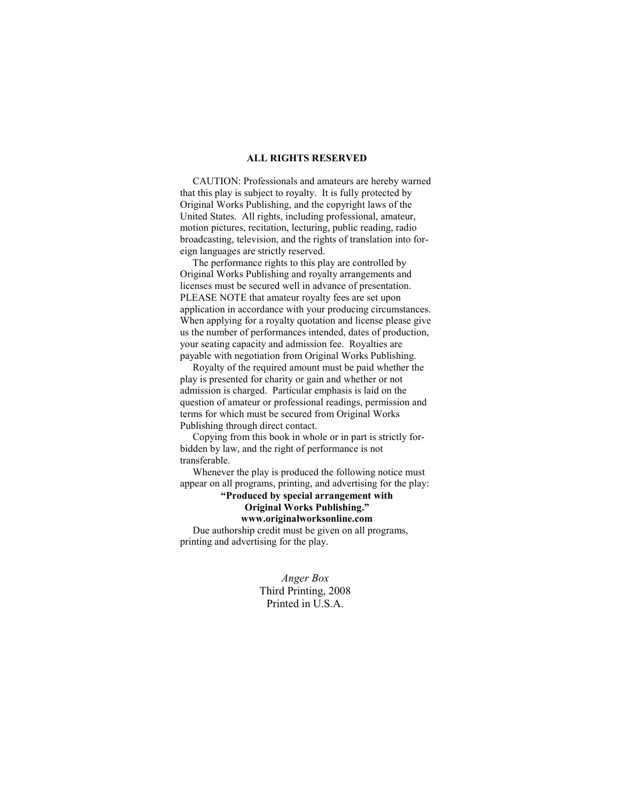### **ALL RIGHTS RESERVED**

 CAUTION: Professionals and amateurs are hereby warned that this play is subject to royalty. It is fully protected by Original Works Publishing, and the copyright laws of the United States. All rights, including professional, amateur, motion pictures, recitation, lecturing, public reading, radio broadcasting, television, and the rights of translation into foreign languages are strictly reserved.

 The performance rights to this play are controlled by Original Works Publishing and royalty arrangements and licenses must be secured well in advance of presentation. PLEASE NOTE that amateur royalty fees are set upon application in accordance with your producing circumstances. When applying for a royalty quotation and license please give us the number of performances intended, dates of production, your seating capacity and admission fee. Royalties are payable with negotiation from Original Works Publishing.

 Royalty of the required amount must be paid whether the play is presented for charity or gain and whether or not admission is charged. Particular emphasis is laid on the question of amateur or professional readings, permission and terms for which must be secured from Original Works Publishing through direct contact.

 Copying from this book in whole or in part is strictly forbidden by law, and the right of performance is not transferable.

 Whenever the play is produced the following notice must appear on all programs, printing, and advertising for the play:

**"Produced by special arrangement with Original Works Publishing."** 

### **www.originalworksonline.com**

 Due authorship credit must be given on all programs, printing and advertising for the play.

> *Anger Box*  Third Printing, 2008 Printed in U.S.A.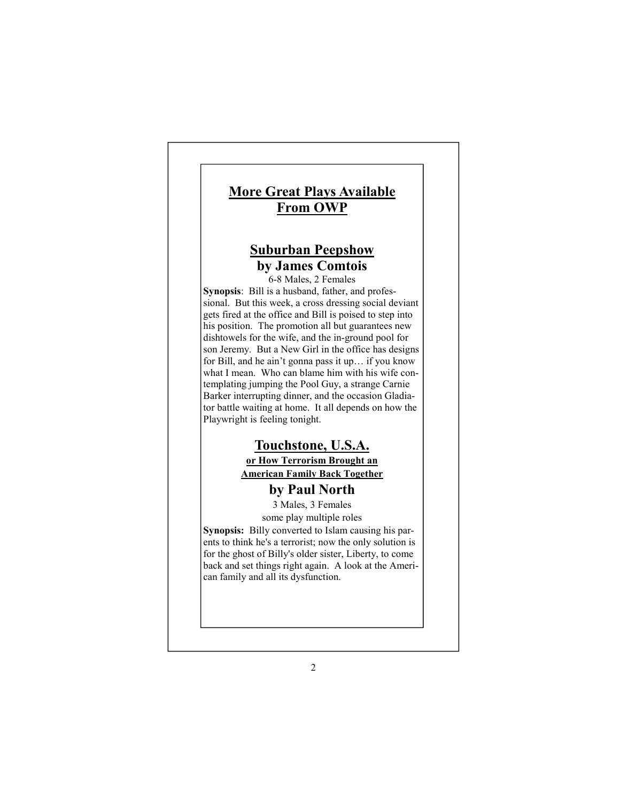# **More Great Plays Available From OWP**

# **Suburban Peepshow by James Comtois**

6-8 Males, 2 Females **Synopsis**: Bill is a husband, father, and professional. But this week, a cross dressing social deviant gets fired at the office and Bill is poised to step into his position. The promotion all but guarantees new dishtowels for the wife, and the in-ground pool for son Jeremy. But a New Girl in the office has designs for Bill, and he ain't gonna pass it up… if you know what I mean. Who can blame him with his wife contemplating jumping the Pool Guy, a strange Carnie Barker interrupting dinner, and the occasion Gladiator battle waiting at home. It all depends on how the Playwright is feeling tonight.

## **Touchstone, U.S.A.**

**or How Terrorism Brought an American Family Back Together**

# **by Paul North**

3 Males, 3 Females

some play multiple roles **Synopsis:** Billy converted to Islam causing his parents to think he's a terrorist; now the only solution is for the ghost of Billy's older sister, Liberty, to come back and set things right again. A look at the American family and all its dysfunction.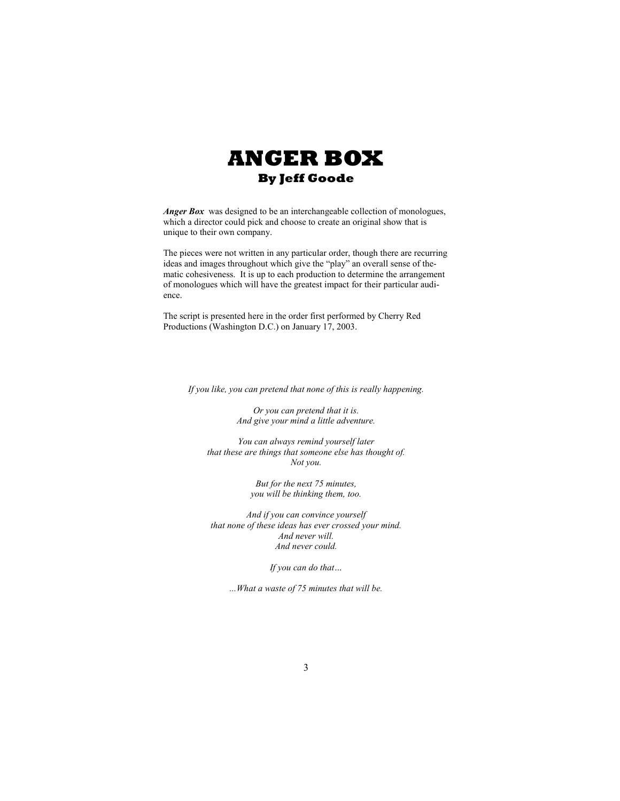

*Anger Box* was designed to be an interchangeable collection of monologues, which a director could pick and choose to create an original show that is unique to their own company.

The pieces were not written in any particular order, though there are recurring ideas and images throughout which give the "play" an overall sense of thematic cohesiveness. It is up to each production to determine the arrangement of monologues which will have the greatest impact for their particular audience.

The script is presented here in the order first performed by Cherry Red Productions (Washington D.C.) on January 17, 2003.

*If you like, you can pretend that none of this is really happening.* 

*Or you can pretend that it is. And give your mind a little adventure.* 

*You can always remind yourself later that these are things that someone else has thought of.*  Not you.

> *But for the next 75 minutes, you will be thinking them, too.*

*And if you can convince yourself that none of these ideas has ever crossed your mind. And never will. And never could.* 

*If you can do that…* 

*...What a waste of 75 minutes that will be.*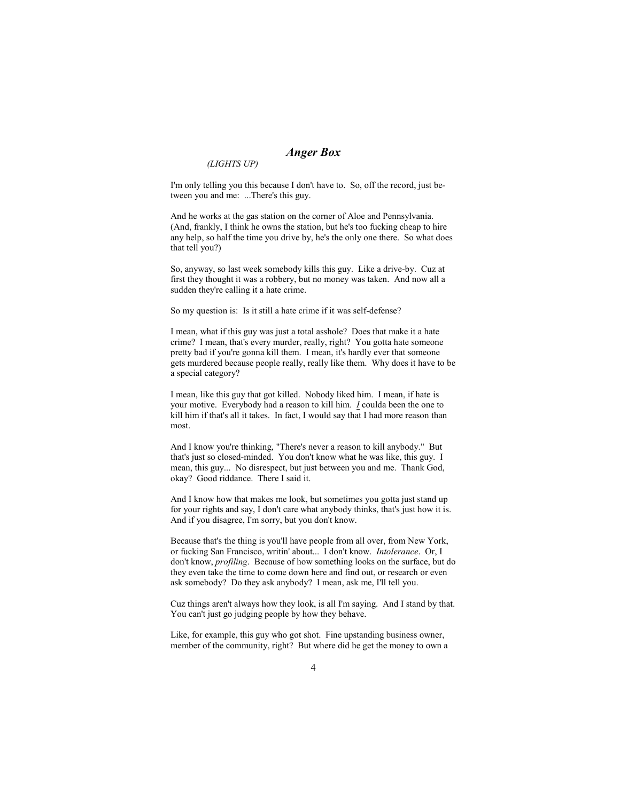## *Anger Box*

*(LIGHTS UP)* 

I'm only telling you this because I don't have to. So, off the record, just between you and me: ...There's this guy.

And he works at the gas station on the corner of Aloe and Pennsylvania. (And, frankly, I think he owns the station, but he's too fucking cheap to hire any help, so half the time you drive by, he's the only one there. So what does that tell you?)

So, anyway, so last week somebody kills this guy. Like a drive-by. Cuz at first they thought it was a robbery, but no money was taken. And now all a sudden they're calling it a hate crime.

So my question is: Is it still a hate crime if it was self-defense?

I mean, what if this guy was just a total asshole? Does that make it a hate crime? I mean, that's every murder, really, right? You gotta hate someone pretty bad if you're gonna kill them. I mean, it's hardly ever that someone gets murdered because people really, really like them. Why does it have to be a special category?

I mean, like this guy that got killed. Nobody liked him. I mean, if hate is your motive. Everybody had a reason to kill him. *I* coulda been the one to kill him if that's all it takes. In fact, I would say that I had more reason than most.

And I know you're thinking, "There's never a reason to kill anybody." But that's just so closed-minded. You don't know what he was like, this guy. I mean, this guy... No disrespect, but just between you and me. Thank God, okay? Good riddance. There I said it.

And I know how that makes me look, but sometimes you gotta just stand up for your rights and say, I don't care what anybody thinks, that's just how it is. And if you disagree, I'm sorry, but you don't know.

Because that's the thing is you'll have people from all over, from New York, or fucking San Francisco, writin' about... I don't know. *Intolerance*. Or, I don't know, *profiling*. Because of how something looks on the surface, but do they even take the time to come down here and find out, or research or even ask somebody? Do they ask anybody? I mean, ask me, I'll tell you.

Cuz things aren't always how they look, is all I'm saying. And I stand by that. You can't just go judging people by how they behave.

Like, for example, this guy who got shot. Fine upstanding business owner, member of the community, right? But where did he get the money to own a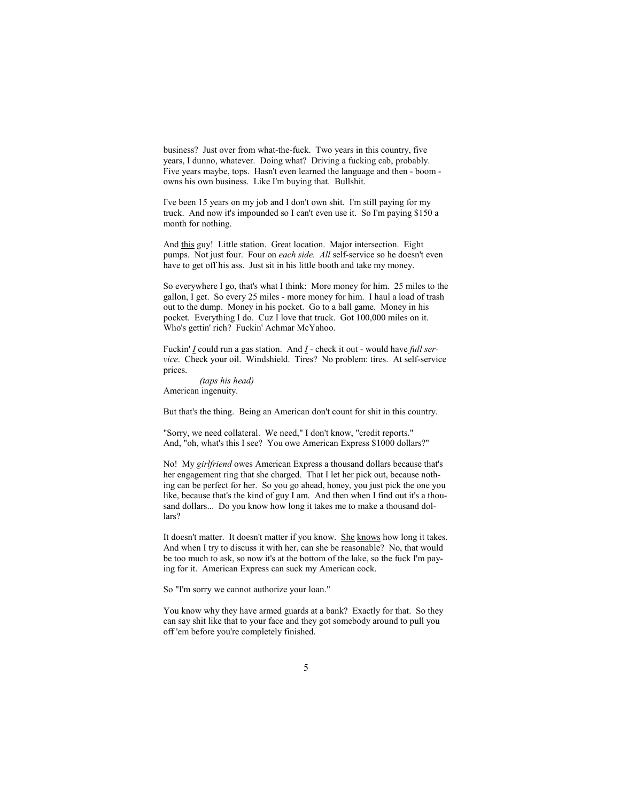business? Just over from what-the-fuck. Two years in this country, five years, I dunno, whatever. Doing what? Driving a fucking cab, probably. Five years maybe, tops. Hasn't even learned the language and then - boom owns his own business. Like I'm buying that. Bullshit.

I've been 15 years on my job and I don't own shit. I'm still paying for my truck. And now it's impounded so I can't even use it. So I'm paying \$150 a month for nothing.

And this guy! Little station. Great location. Major intersection. Eight pumps. Not just four. Four on *each side. All* self-service so he doesn't even have to get off his ass. Just sit in his little booth and take my money.

So everywhere I go, that's what I think: More money for him. 25 miles to the gallon, I get. So every 25 miles - more money for him. I haul a load of trash out to the dump. Money in his pocket. Go to a ball game. Money in his pocket. Everything I do. Cuz I love that truck. Got 100,000 miles on it. Who's gettin' rich? Fuckin' Achmar McYahoo.

Fuckin' *I* could run a gas station. And *I* - check it out - would have *full service*. Check your oil. Windshield. Tires? No problem: tires. At self-service prices.

*(taps his head)* American ingenuity.

But that's the thing. Being an American don't count for shit in this country.

"Sorry, we need collateral. We need," I don't know, "credit reports." And, "oh, what's this I see? You owe American Express \$1000 dollars?"

No! My *girlfriend* owes American Express a thousand dollars because that's her engagement ring that she charged. That I let her pick out, because nothing can be perfect for her. So you go ahead, honey, you just pick the one you like, because that's the kind of guy I am. And then when I find out it's a thousand dollars... Do you know how long it takes me to make a thousand dollars?

It doesn't matter. It doesn't matter if you know. She knows how long it takes. And when I try to discuss it with her, can she be reasonable? No, that would be too much to ask, so now it's at the bottom of the lake, so the fuck I'm paying for it. American Express can suck my American cock.

So "I'm sorry we cannot authorize your loan."

You know why they have armed guards at a bank? Exactly for that. So they can say shit like that to your face and they got somebody around to pull you off 'em before you're completely finished.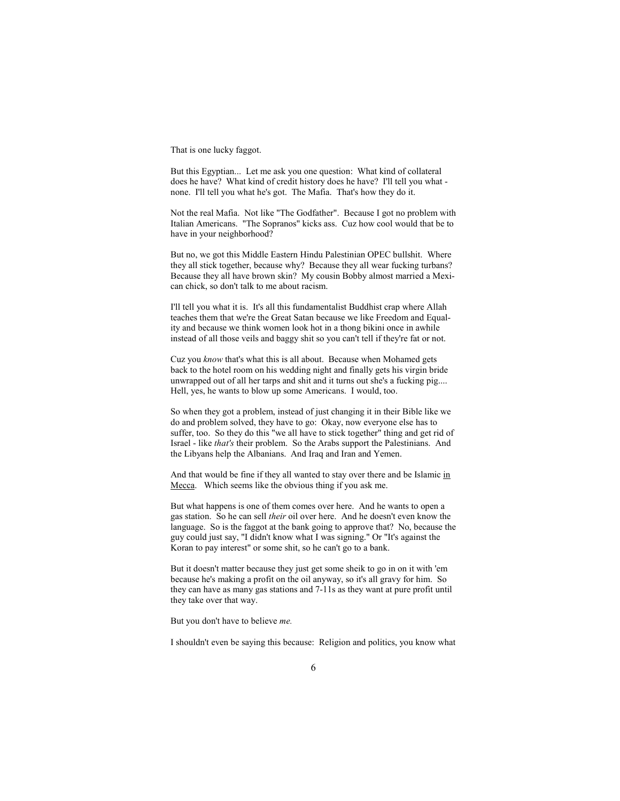That is one lucky faggot.

But this Egyptian... Let me ask you one question: What kind of collateral does he have? What kind of credit history does he have? I'll tell you what none. I'll tell you what he's got. The Mafia. That's how they do it.

Not the real Mafia. Not like "The Godfather". Because I got no problem with Italian Americans. "The Sopranos" kicks ass. Cuz how cool would that be to have in your neighborhood?

But no, we got this Middle Eastern Hindu Palestinian OPEC bullshit. Where they all stick together, because why? Because they all wear fucking turbans? Because they all have brown skin? My cousin Bobby almost married a Mexican chick, so don't talk to me about racism.

I'll tell you what it is. It's all this fundamentalist Buddhist crap where Allah teaches them that we're the Great Satan because we like Freedom and Equality and because we think women look hot in a thong bikini once in awhile instead of all those veils and baggy shit so you can't tell if they're fat or not.

Cuz you *know* that's what this is all about. Because when Mohamed gets back to the hotel room on his wedding night and finally gets his virgin bride unwrapped out of all her tarps and shit and it turns out she's a fucking pig.... Hell, yes, he wants to blow up some Americans. I would, too.

So when they got a problem, instead of just changing it in their Bible like we do and problem solved, they have to go: Okay, now everyone else has to suffer, too. So they do this "we all have to stick together" thing and get rid of Israel - like *that's* their problem. So the Arabs support the Palestinians. And the Libyans help the Albanians. And Iraq and Iran and Yemen.

And that would be fine if they all wanted to stay over there and be Islamic in Mecca. Which seems like the obvious thing if you ask me.

But what happens is one of them comes over here. And he wants to open a gas station. So he can sell *their* oil over here. And he doesn't even know the language. So is the faggot at the bank going to approve that? No, because the guy could just say, "I didn't know what I was signing." Or "It's against the Koran to pay interest" or some shit, so he can't go to a bank.

But it doesn't matter because they just get some sheik to go in on it with 'em because he's making a profit on the oil anyway, so it's all gravy for him. So they can have as many gas stations and 7-11s as they want at pure profit until they take over that way.

But you don't have to believe *me.*

I shouldn't even be saying this because: Religion and politics, you know what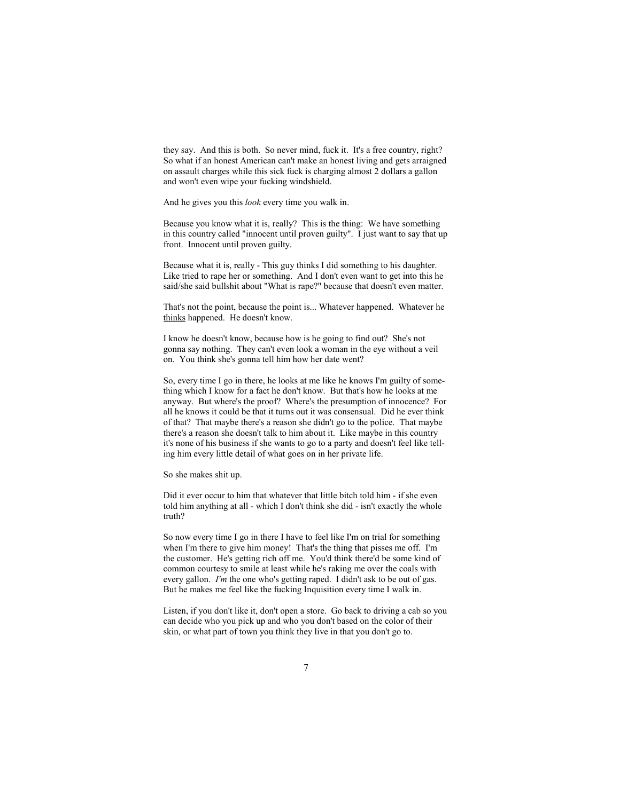they say. And this is both. So never mind, fuck it. It's a free country, right? So what if an honest American can't make an honest living and gets arraigned on assault charges while this sick fuck is charging almost 2 dollars a gallon and won't even wipe your fucking windshield.

And he gives you this *look* every time you walk in.

Because you know what it is, really? This is the thing: We have something in this country called "innocent until proven guilty". I just want to say that up front. Innocent until proven guilty.

Because what it is, really - This guy thinks I did something to his daughter. Like tried to rape her or something. And I don't even want to get into this he said/she said bullshit about "What is rape?" because that doesn't even matter.

That's not the point, because the point is... Whatever happened. Whatever he thinks happened. He doesn't know.

I know he doesn't know, because how is he going to find out? She's not gonna say nothing. They can't even look a woman in the eye without a veil on. You think she's gonna tell him how her date went?

So, every time I go in there, he looks at me like he knows I'm guilty of something which I know for a fact he don't know. But that's how he looks at me anyway. But where's the proof? Where's the presumption of innocence? For all he knows it could be that it turns out it was consensual. Did he ever think of that? That maybe there's a reason she didn't go to the police. That maybe there's a reason she doesn't talk to him about it. Like maybe in this country it's none of his business if she wants to go to a party and doesn't feel like telling him every little detail of what goes on in her private life.

So she makes shit up.

Did it ever occur to him that whatever that little bitch told him - if she even told him anything at all - which I don't think she did - isn't exactly the whole truth?

So now every time I go in there I have to feel like I'm on trial for something when I'm there to give him money! That's the thing that pisses me off. I'm the customer. He's getting rich off me. You'd think there'd be some kind of common courtesy to smile at least while he's raking me over the coals with every gallon. *I'm* the one who's getting raped. I didn't ask to be out of gas. But he makes me feel like the fucking Inquisition every time I walk in.

Listen, if you don't like it, don't open a store. Go back to driving a cab so you can decide who you pick up and who you don't based on the color of their skin, or what part of town you think they live in that you don't go to.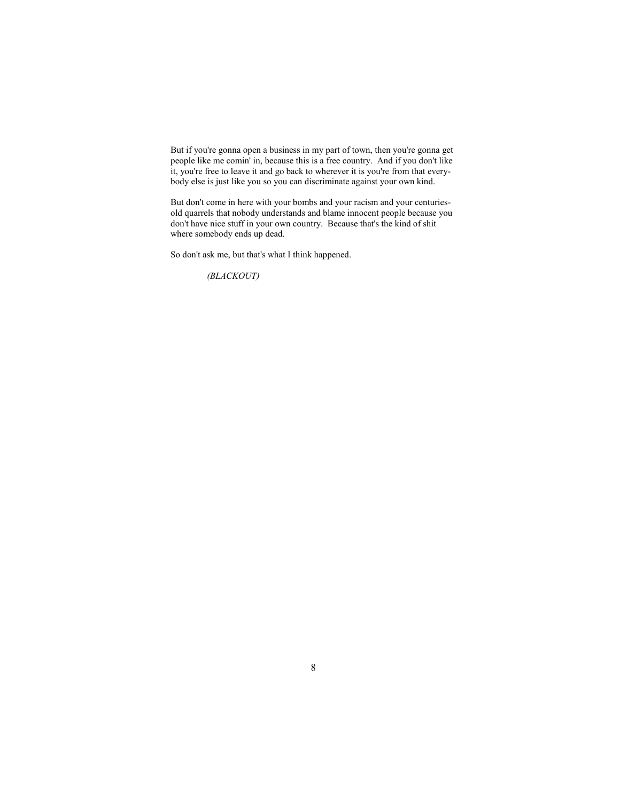But if you're gonna open a business in my part of town, then you're gonna get people like me comin' in, because this is a free country. And if you don't like it, you're free to leave it and go back to wherever it is you're from that everybody else is just like you so you can discriminate against your own kind.

But don't come in here with your bombs and your racism and your centuriesold quarrels that nobody understands and blame innocent people because you don't have nice stuff in your own country. Because that's the kind of shit where somebody ends up dead.

So don't ask me, but that's what I think happened.

*(BLACKOUT)*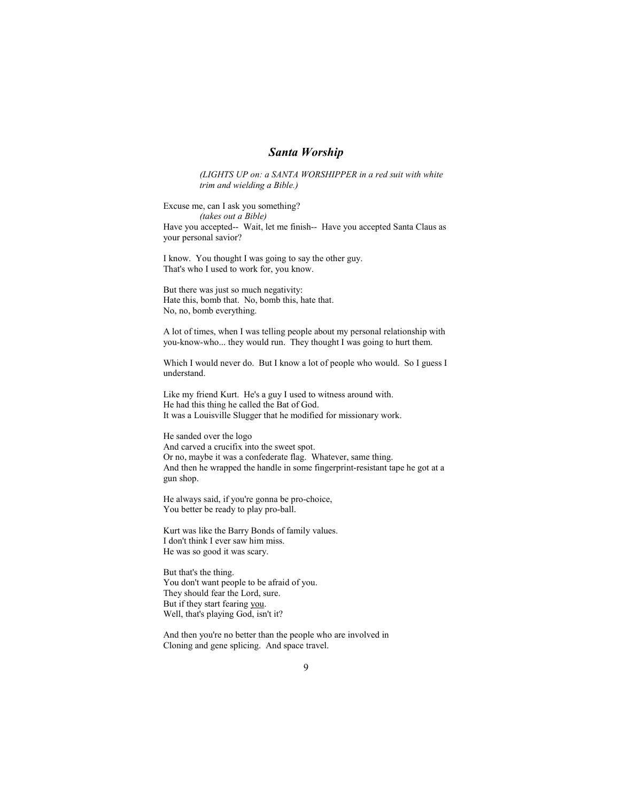### *Santa Worship*

*(LIGHTS UP on: a SATA WORSHIPPER in a red suit with white trim and wielding a Bible.)* 

Excuse me, can I ask you something? *(takes out a Bible)*  Have you accepted-- Wait, let me finish-- Have you accepted Santa Claus as your personal savior?

I know. You thought I was going to say the other guy. That's who I used to work for, you know.

But there was just so much negativity: Hate this, bomb that. No, bomb this, hate that. No, no, bomb everything.

A lot of times, when I was telling people about my personal relationship with you-know-who... they would run. They thought I was going to hurt them.

Which I would never do. But I know a lot of people who would. So I guess I understand.

Like my friend Kurt. He's a guy I used to witness around with. He had this thing he called the Bat of God. It was a Louisville Slugger that he modified for missionary work.

He sanded over the logo And carved a crucifix into the sweet spot. Or no, maybe it was a confederate flag. Whatever, same thing. And then he wrapped the handle in some fingerprint-resistant tape he got at a gun shop.

He always said, if you're gonna be pro-choice, You better be ready to play pro-ball.

Kurt was like the Barry Bonds of family values. I don't think I ever saw him miss. He was so good it was scary.

But that's the thing. You don't want people to be afraid of you. They should fear the Lord, sure. But if they start fearing you. Well, that's playing God, isn't it?

And then you're no better than the people who are involved in Cloning and gene splicing. And space travel.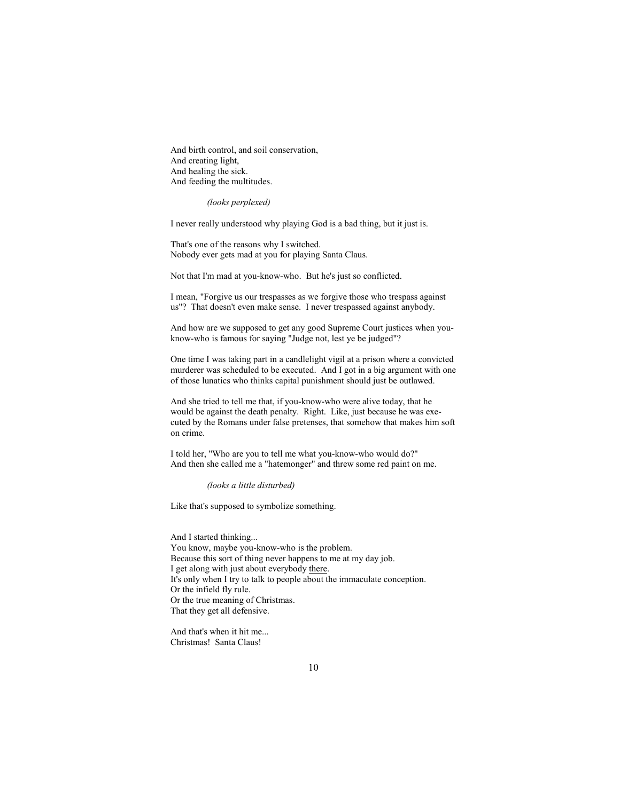And birth control, and soil conservation, And creating light, And healing the sick. And feeding the multitudes.

*(looks perplexed)* 

I never really understood why playing God is a bad thing, but it just is.

That's one of the reasons why I switched. Nobody ever gets mad at you for playing Santa Claus.

Not that I'm mad at you-know-who. But he's just so conflicted.

I mean, "Forgive us our trespasses as we forgive those who trespass against us"? That doesn't even make sense. I never trespassed against anybody.

And how are we supposed to get any good Supreme Court justices when youknow-who is famous for saying "Judge not, lest ye be judged"?

One time I was taking part in a candlelight vigil at a prison where a convicted murderer was scheduled to be executed. And I got in a big argument with one of those lunatics who thinks capital punishment should just be outlawed.

And she tried to tell me that, if you-know-who were alive today, that he would be against the death penalty. Right. Like, just because he was executed by the Romans under false pretenses, that somehow that makes him soft on crime.

I told her, "Who are you to tell me what you-know-who would do?" And then she called me a "hatemonger" and threw some red paint on me.

*(looks a little disturbed)* 

Like that's supposed to symbolize something.

And I started thinking... You know, maybe you-know-who is the problem. Because this sort of thing never happens to me at my day job. I get along with just about everybody there. It's only when I try to talk to people about the immaculate conception. Or the infield fly rule. Or the true meaning of Christmas. That they get all defensive.

And that's when it hit me... Christmas! Santa Claus!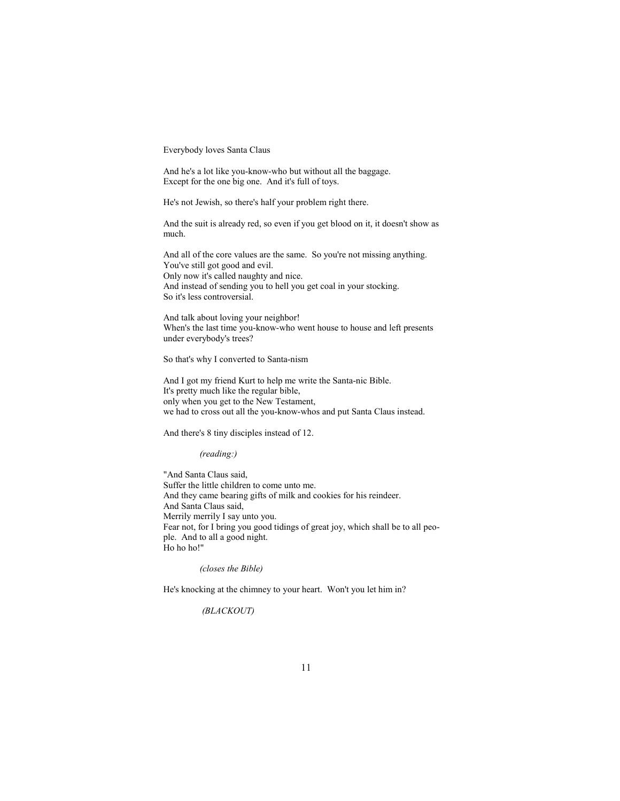Everybody loves Santa Claus

And he's a lot like you-know-who but without all the baggage. Except for the one big one. And it's full of toys.

He's not Jewish, so there's half your problem right there.

And the suit is already red, so even if you get blood on it, it doesn't show as much.

And all of the core values are the same. So you're not missing anything. You've still got good and evil. Only now it's called naughty and nice. And instead of sending you to hell you get coal in your stocking. So it's less controversial.

And talk about loving your neighbor! When's the last time you-know-who went house to house and left presents under everybody's trees?

So that's why I converted to Santa-nism

And I got my friend Kurt to help me write the Santa-nic Bible. It's pretty much like the regular bible, only when you get to the New Testament, we had to cross out all the you-know-whos and put Santa Claus instead.

And there's 8 tiny disciples instead of 12.

*(reading:)* 

"And Santa Claus said, Suffer the little children to come unto me. And they came bearing gifts of milk and cookies for his reindeer. And Santa Claus said, Merrily merrily I say unto you. Fear not, for I bring you good tidings of great joy, which shall be to all people. And to all a good night. Ho ho ho!"

*(closes the Bible)* 

He's knocking at the chimney to your heart. Won't you let him in?

 *(BLACKOUT)*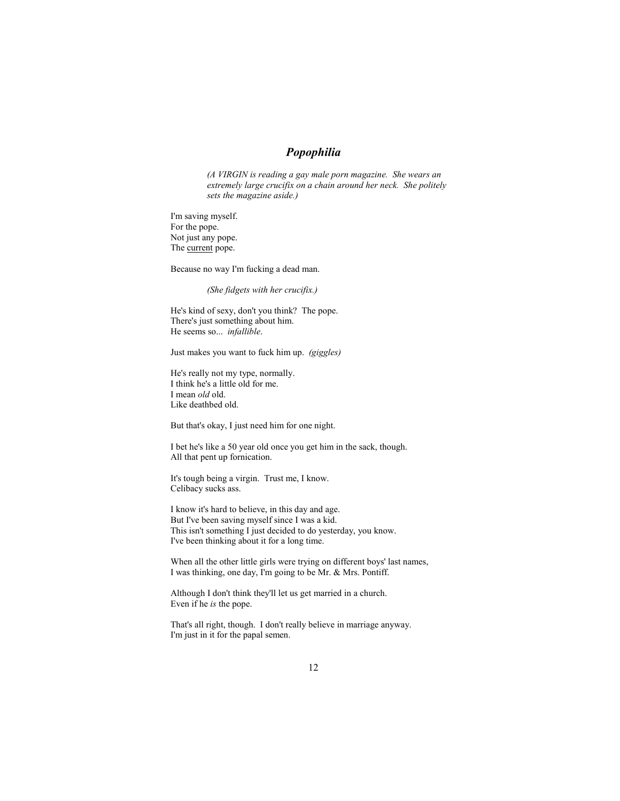## *Popophilia*

*(A VIRGIN is reading a gay male porn magazine. She wears an extremely large crucifix on a chain around her neck. She politely sets the magazine aside.)*

I'm saving myself. For the pope. Not just any pope. The current pope.

Because no way I'm fucking a dead man.

*(She fidgets with her crucifix.)* 

He's kind of sexy, don't you think? The pope. There's just something about him. He seems so... *infallible*.

Just makes you want to fuck him up. *(giggles)*

He's really not my type, normally. I think he's a little old for me. I mean *old* old. Like deathbed old.

But that's okay, I just need him for one night.

I bet he's like a 50 year old once you get him in the sack, though. All that pent up fornication.

It's tough being a virgin. Trust me, I know. Celibacy sucks ass.

I know it's hard to believe, in this day and age. But I've been saving myself since I was a kid. This isn't something I just decided to do yesterday, you know. I've been thinking about it for a long time.

When all the other little girls were trying on different boys' last names, I was thinking, one day, I'm going to be Mr. & Mrs. Pontiff.

Although I don't think they'll let us get married in a church. Even if he *is* the pope.

That's all right, though. I don't really believe in marriage anyway. I'm just in it for the papal semen.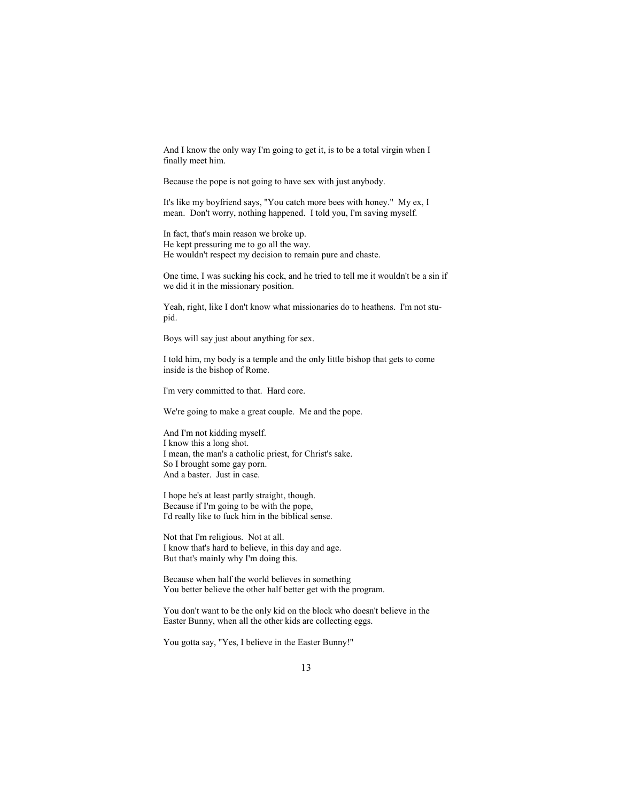And I know the only way I'm going to get it, is to be a total virgin when I finally meet him.

Because the pope is not going to have sex with just anybody.

It's like my boyfriend says, "You catch more bees with honey." My ex, I mean. Don't worry, nothing happened. I told you, I'm saving myself.

In fact, that's main reason we broke up. He kept pressuring me to go all the way. He wouldn't respect my decision to remain pure and chaste.

One time, I was sucking his cock, and he tried to tell me it wouldn't be a sin if we did it in the missionary position.

Yeah, right, like I don't know what missionaries do to heathens. I'm not stupid.

Boys will say just about anything for sex.

I told him, my body is a temple and the only little bishop that gets to come inside is the bishop of Rome.

I'm very committed to that. Hard core.

We're going to make a great couple. Me and the pope.

And I'm not kidding myself. I know this a long shot. I mean, the man's a catholic priest, for Christ's sake. So I brought some gay porn. And a baster. Just in case.

I hope he's at least partly straight, though. Because if I'm going to be with the pope, I'd really like to fuck him in the biblical sense.

Not that I'm religious. Not at all. I know that's hard to believe, in this day and age. But that's mainly why I'm doing this.

Because when half the world believes in something You better believe the other half better get with the program.

You don't want to be the only kid on the block who doesn't believe in the Easter Bunny, when all the other kids are collecting eggs.

You gotta say, "Yes, I believe in the Easter Bunny!"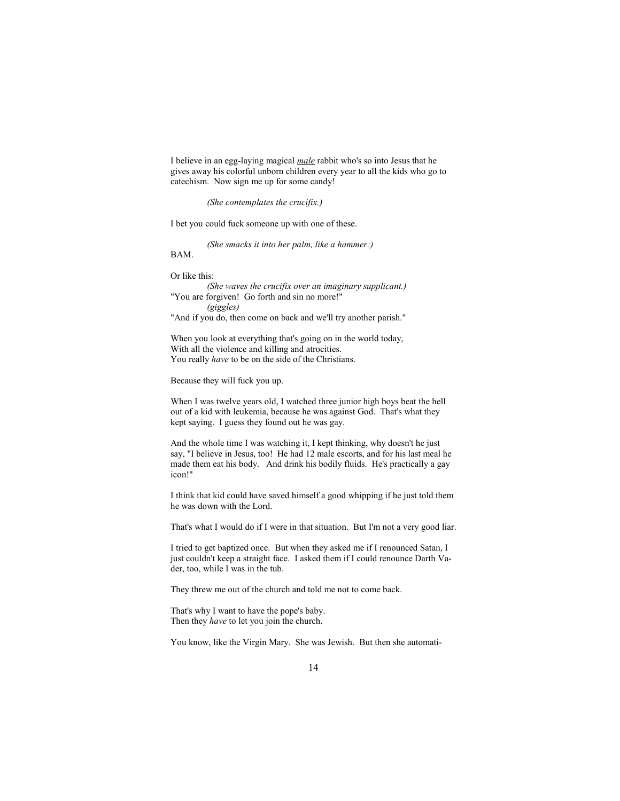I believe in an egg-laying magical *male* rabbit who's so into Jesus that he gives away his colorful unborn children every year to all the kids who go to catechism. Now sign me up for some candy!

*(She contemplates the crucifix.)* 

I bet you could fuck someone up with one of these.

*(She smacks it into her palm, like a hammer:)* 

BAM.

Or like this:

*(She waves the crucifix over an imaginary supplicant.)*  "You are forgiven! Go forth and sin no more!" *(giggles)*  "And if you do, then come on back and we'll try another parish."

When you look at everything that's going on in the world today, With all the violence and killing and atrocities. You really *have* to be on the side of the Christians.

Because they will fuck you up.

When I was twelve years old, I watched three junior high boys beat the hell out of a kid with leukemia, because he was against God. That's what they kept saying. I guess they found out he was gay.

And the whole time I was watching it, I kept thinking, why doesn't he just say, "I believe in Jesus, too! He had 12 male escorts, and for his last meal he made them eat his body. And drink his bodily fluids. He's practically a gay icon!"

I think that kid could have saved himself a good whipping if he just told them he was down with the Lord.

That's what I would do if I were in that situation. But I'm not a very good liar.

I tried to get baptized once. But when they asked me if I renounced Satan, I just couldn't keep a straight face. I asked them if I could renounce Darth Vader, too, while I was in the tub.

They threw me out of the church and told me not to come back.

That's why I want to have the pope's baby. Then they *have* to let you join the church.

You know, like the Virgin Mary. She was Jewish. But then she automati-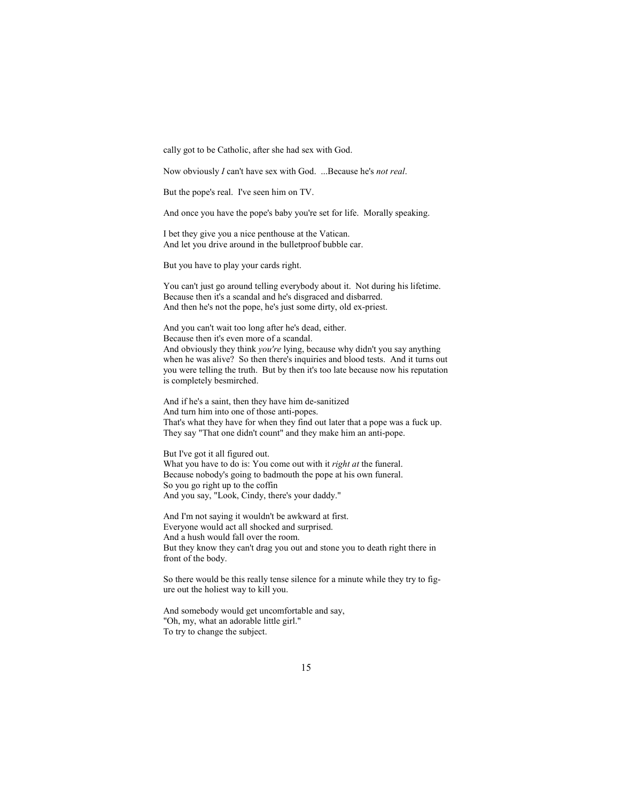cally got to be Catholic, after she had sex with God.

Now obviously *I* can't have sex with God. ...Because he's *not real*.

But the pope's real. I've seen him on TV.

And once you have the pope's baby you're set for life. Morally speaking.

I bet they give you a nice penthouse at the Vatican. And let you drive around in the bulletproof bubble car.

But you have to play your cards right.

You can't just go around telling everybody about it. Not during his lifetime. Because then it's a scandal and he's disgraced and disbarred. And then he's not the pope, he's just some dirty, old ex-priest.

And you can't wait too long after he's dead, either. Because then it's even more of a scandal. And obviously they think *you're* lying, because why didn't you say anything when he was alive? So then there's inquiries and blood tests. And it turns out you were telling the truth. But by then it's too late because now his reputation is completely besmirched.

And if he's a saint, then they have him de-sanitized And turn him into one of those anti-popes. That's what they have for when they find out later that a pope was a fuck up. They say "That one didn't count" and they make him an anti-pope.

But I've got it all figured out. What you have to do is: You come out with it *right at* the funeral. Because nobody's going to badmouth the pope at his own funeral. So you go right up to the coffin And you say, "Look, Cindy, there's your daddy."

And I'm not saying it wouldn't be awkward at first. Everyone would act all shocked and surprised. And a hush would fall over the room. But they know they can't drag you out and stone you to death right there in front of the body.

So there would be this really tense silence for a minute while they try to figure out the holiest way to kill you.

And somebody would get uncomfortable and say, "Oh, my, what an adorable little girl." To try to change the subject.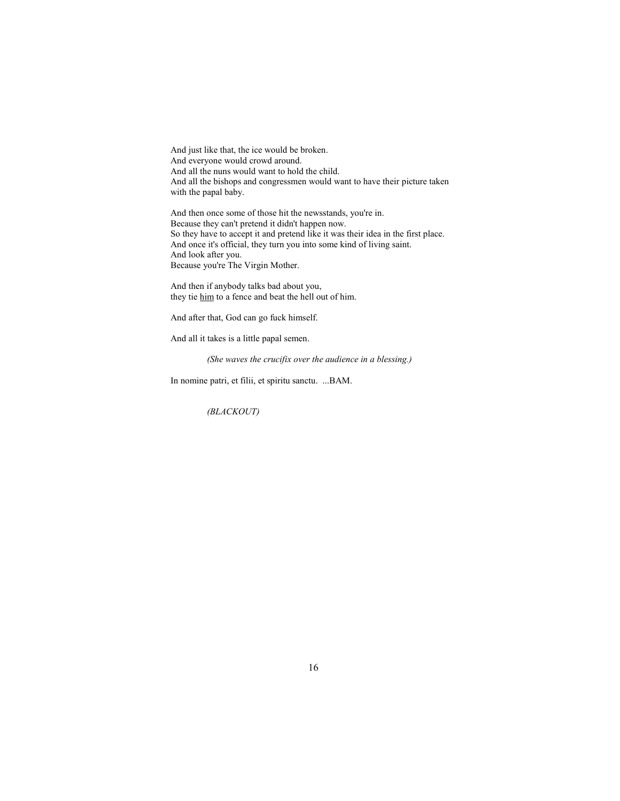And just like that, the ice would be broken. And everyone would crowd around. And all the nuns would want to hold the child. And all the bishops and congressmen would want to have their picture taken with the papal baby.

And then once some of those hit the newsstands, you're in. Because they can't pretend it didn't happen now. So they have to accept it and pretend like it was their idea in the first place. And once it's official, they turn you into some kind of living saint. And look after you. Because you're The Virgin Mother.

And then if anybody talks bad about you, they tie him to a fence and beat the hell out of him.

And after that, God can go fuck himself.

And all it takes is a little papal semen.

*(She waves the crucifix over the audience in a blessing.)*

In nomine patri, et filii, et spiritu sanctu. ...BAM.

*(BLACKOUT)*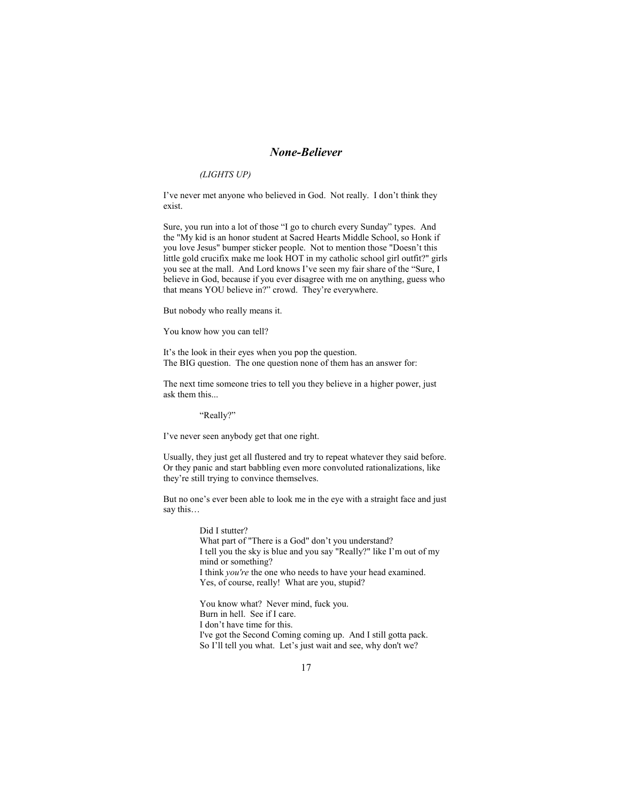## *None-Believer*

#### *(LIGHTS UP)*

I've never met anyone who believed in God. Not really. I don't think they exist.

Sure, you run into a lot of those "I go to church every Sunday" types. And the "My kid is an honor student at Sacred Hearts Middle School, so Honk if you love Jesus" bumper sticker people. Not to mention those "Doesn't this little gold crucifix make me look HOT in my catholic school girl outfit?" girls you see at the mall. And Lord knows I've seen my fair share of the "Sure, I believe in God, because if you ever disagree with me on anything, guess who that means YOU believe in?" crowd. They're everywhere.

But nobody who really means it.

You know how you can tell?

It's the look in their eyes when you pop the question. The BIG question. The one question none of them has an answer for:

The next time someone tries to tell you they believe in a higher power, just ask them this...

"Really?"

I've never seen anybody get that one right.

Usually, they just get all flustered and try to repeat whatever they said before. Or they panic and start babbling even more convoluted rationalizations, like they're still trying to convince themselves.

But no one's ever been able to look me in the eye with a straight face and just say this…

> Did I stutter? What part of "There is a God" don't you understand? I tell you the sky is blue and you say "Really?" like I'm out of my mind or something? I think *you're* the one who needs to have your head examined. Yes, of course, really! What are you, stupid?

You know what? Never mind, fuck you. Burn in hell. See if I care. I don't have time for this. I've got the Second Coming coming up. And I still gotta pack. So I'll tell you what. Let's just wait and see, why don't we?